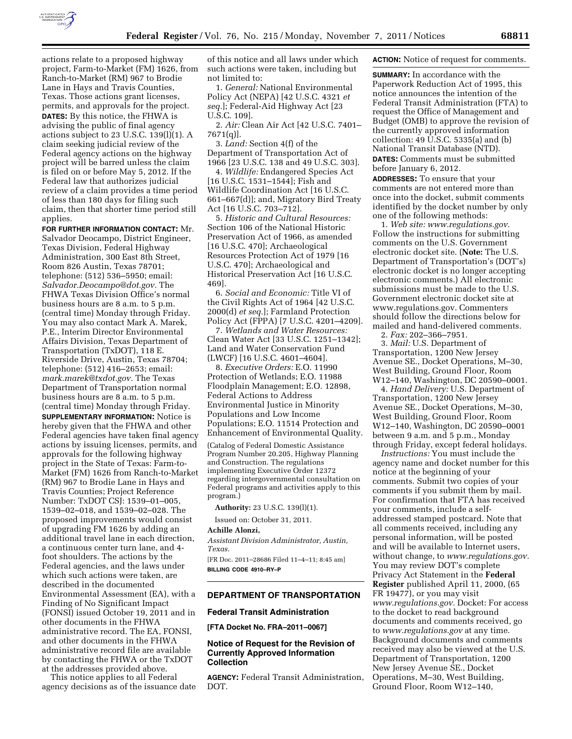

actions relate to a proposed highway project, Farm-to-Market (FM) 1626, from Ranch-to-Market (RM) 967 to Brodie Lane in Hays and Travis Counties, Texas. Those actions grant licenses, permits, and approvals for the project. **DATES:** By this notice, the FHWA is advising the public of final agency actions subject to 23 U.S.C. 139(l)(1). A claim seeking judicial review of the Federal agency actions on the highway project will be barred unless the claim is filed on or before May 5, 2012. If the Federal law that authorizes judicial review of a claim provides a time period of less than 180 days for filing such claim, then that shorter time period still applies.

**FOR FURTHER INFORMATION CONTACT:** Mr. Salvador Deocampo, District Engineer, Texas Division, Federal Highway Administration, 300 East 8th Street, Room 826 Austin, Texas 78701; telephone: (512) 536–5950; email: *[Salvador.Deocampo@dot.gov.](mailto:Salvador.Deocampo@dot.gov)* The FHWA Texas Division Office's normal business hours are 8 a.m. to 5 p.m. (central time) Monday through Friday. You may also contact Mark A. Marek, P.E., Interim Director Environmental Affairs Division, Texas Department of Transportation (TxDOT), 118 E. Riverside Drive, Austin, Texas 78704; telephone: (512) 416–2653; email: *[mark.marek@txdot.gov.](mailto:mark.marek@txdot.gov)* The Texas Department of Transportation normal business hours are 8 a.m. to 5 p.m. (central time) Monday through Friday. **SUPPLEMENTARY INFORMATION:** Notice is hereby given that the FHWA and other Federal agencies have taken final agency actions by issuing licenses, permits, and approvals for the following highway project in the State of Texas: Farm-to-Market (FM) 1626 from Ranch-to-Market (RM) 967 to Brodie Lane in Hays and Travis Counties; Project Reference Number: TxDOT CSJ: 1539–01–005, 1539–02–018, and 1539–02–028. The proposed improvements would consist of upgrading FM 1626 by adding an additional travel lane in each direction, a continuous center turn lane, and 4 foot shoulders. The actions by the Federal agencies, and the laws under which such actions were taken, are described in the documented Environmental Assessment (EA), with a Finding of No Significant Impact (FONSI) issued October 19, 2011 and in other documents in the FHWA administrative record. The EA, FONSI, and other documents in the FHWA administrative record file are available by contacting the FHWA or the TxDOT at the addresses provided above.

This notice applies to all Federal agency decisions as of the issuance date

of this notice and all laws under which such actions were taken, including but not limited to:

1. *General:* National Environmental Policy Act (NEPA) [42 U.S.C. 4321 *et seq.*]; Federal-Aid Highway Act [23 U.S.C. 109].

2. *Air:* Clean Air Act [42 U.S.C. 7401– 7671(q)].

3. *Land:* Section 4(f) of the Department of Transportation Act of 1966 [23 U.S.C. 138 and 49 U.S.C. 303].

4. *Wildlife:* Endangered Species Act [16 U.S.C. 1531–1544]; Fish and Wildlife Coordination Act [16 U.S.C. 661–667(d)]; and, Migratory Bird Treaty Act [16 U.S.C. 703–712].

5. *Historic and Cultural Resources:*  Section 106 of the National Historic Preservation Act of 1966, as amended [16 U.S.C. 470]; Archaeological Resources Protection Act of 1979 [16 U.S.C. 470]; Archaeological and Historical Preservation Act [16 U.S.C. 469].

6. *Social and Economic:* Title VI of the Civil Rights Act of 1964 [42 U.S.C. 2000(d) *et seq.*]; Farmland Protection Policy Act (FPPA) [7 U.S.C. 4201–4209].

7. *Wetlands and Water Resources:*  Clean Water Act [33 U.S.C. 1251–1342]; Land and Water Conservation Fund (LWCF) [16 U.S.C. 4601–4604].

8. *Executive Orders:* E.O. 11990 Protection of Wetlands; E.O. 11988 Floodplain Management; E.O. 12898, Federal Actions to Address Environmental Justice in Minority Populations and Low Income Populations; E.O. 11514 Protection and Enhancement of Environmental Quality.

(Catalog of Federal Domestic Assistance Program Number 20.205, Highway Planning and Construction. The regulations implementing Executive Order 12372 regarding intergovernmental consultation on Federal programs and activities apply to this program.)

**Authority:** 23 U.S.C. 139(l)(1).

Issued on: October 31, 2011.

## **Achille Alonzi,**

*Assistant Division Administrator, Austin, Texas.* 

[FR Doc. 2011–28686 Filed 11–4–11; 8:45 am] **BILLING CODE 4910–RY–P** 

# **DEPARTMENT OF TRANSPORTATION**

#### **Federal Transit Administration**

**[FTA Docket No. FRA–2011–0067]** 

## **Notice of Request for the Revision of Currently Approved Information Collection**

**AGENCY:** Federal Transit Administration, DOT.

### **ACTION:** Notice of request for comments.

**SUMMARY:** In accordance with the Paperwork Reduction Act of 1995, this notice announces the intention of the Federal Transit Administration (FTA) to request the Office of Management and Budget (OMB) to approve the revision of the currently approved information collection: 49 U.S.C. 5335(a) and (b) National Transit Database (NTD).

**DATES:** Comments must be submitted before January 6, 2012*.* 

**ADDRESSES:** To ensure that your comments are not entered more than once into the docket, submit comments identified by the docket number by only one of the following methods:

1. *Web site: [www.regulations.gov.](http://www.regulations.gov)*  Follow the instructions for submitting comments on the U.S. Government electronic docket site. (**Note:** The U.S. Department of Transportation's (DOT's) electronic docket is no longer accepting electronic comments.) All electronic submissions must be made to the U.S. Government electronic docket site at [www.regulations.gov.](http://www.regulations.gov) Commenters should follow the directions below for mailed and hand-delivered comments.

2. *Fax:* 202–366–7951.

3. *Mail:* U.S. Department of Transportation, 1200 New Jersey Avenue SE., Docket Operations, M–30, West Building, Ground Floor, Room W12–140, Washington, DC 20590–0001.

4. *Hand Delivery:* U.S. Department of Transportation, 1200 New Jersey Avenue SE., Docket Operations, M–30, West Building, Ground Floor, Room W12–140, Washington, DC 20590–0001 between 9 a.m. and 5 p.m., Monday through Friday, except federal holidays.

*Instructions:* You must include the agency name and docket number for this notice at the beginning of your comments. Submit two copies of your comments if you submit them by mail. For confirmation that FTA has received your comments, include a selfaddressed stamped postcard. Note that all comments received, including any personal information, will be posted and will be available to Internet users, without change, to *[www.regulations.gov.](http://www.regulations.gov)*  You may review DOT's complete Privacy Act Statement in the **Federal Register** published April 11, 2000, (65 FR 19477), or you may visit *[www.regulations.gov.](http://www.regulations.gov)* Docket: For access to the docket to read background documents and comments received, go to *[www.regulations.gov](http://www.regulations.gov)* at any time. Background documents and comments received may also be viewed at the U.S. Department of Transportation, 1200 New Jersey Avenue SE., Docket Operations, M–30, West Building, Ground Floor, Room W12–140,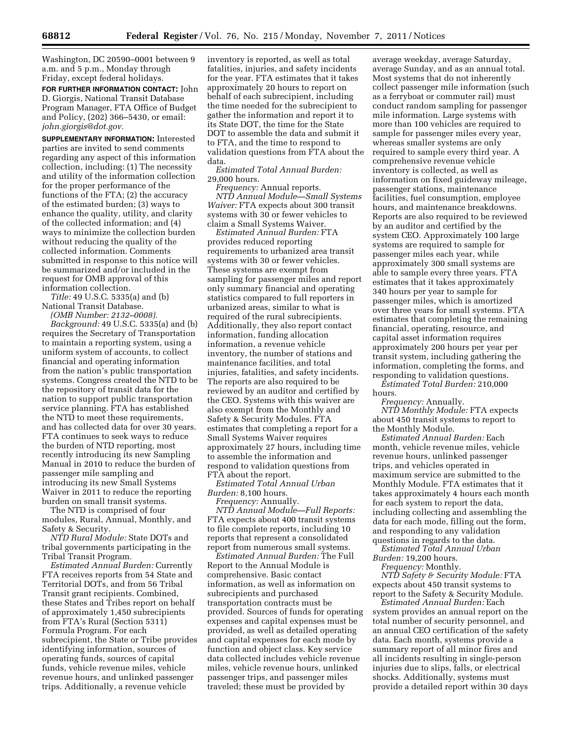Washington, DC 20590–0001 between 9 a.m. and 5 p.m., Monday through Friday, except federal holidays.

**FOR FURTHER INFORMATION CONTACT:** John D. Giorgis, National Transit Database Program Manager, FTA Office of Budget and Policy, (202) 366–5430, or email: *[john.giorgis@dot.gov.](mailto:john.giorgis@dot.gov)* 

**SUPPLEMENTARY INFORMATION:** Interested parties are invited to send comments regarding any aspect of this information collection, including: (1) The necessity and utility of the information collection for the proper performance of the functions of the FTA; (2) the accuracy of the estimated burden; (3) ways to enhance the quality, utility, and clarity of the collected information; and (4) ways to minimize the collection burden without reducing the quality of the collected information. Comments submitted in response to this notice will be summarized and/or included in the request for OMB approval of this information collection.

*Title:* 49 U.S.C. 5335(a) and (b) National Transit Database.

*(OMB Number: 2132–0008).* 

*Background:* 49 U.S.C. 5335(a) and (b) requires the Secretary of Transportation to maintain a reporting system, using a uniform system of accounts, to collect financial and operating information from the nation's public transportation systems. Congress created the NTD to be the repository of transit data for the nation to support public transportation service planning. FTA has established the NTD to meet these requirements, and has collected data for over 30 years. FTA continues to seek ways to reduce the burden of NTD reporting, most recently introducing its new Sampling Manual in 2010 to reduce the burden of passenger mile sampling and introducing its new Small Systems Waiver in 2011 to reduce the reporting burden on small transit systems.

The NTD is comprised of four modules, Rural, Annual, Monthly, and Safety & Security.

*NTD Rural Module:* State DOTs and tribal governments participating in the Tribal Transit Program.

*Estimated Annual Burden:* Currently FTA receives reports from 54 State and Territorial DOTs, and from 56 Tribal Transit grant recipients. Combined, these States and Tribes report on behalf of approximately 1,450 subrecipients from FTA's Rural (Section 5311) Formula Program. For each subrecipient, the State or Tribe provides identifying information, sources of operating funds, sources of capital funds, vehicle revenue miles, vehicle revenue hours, and unlinked passenger trips. Additionally, a revenue vehicle

inventory is reported, as well as total fatalities, injuries, and safety incidents for the year. FTA estimates that it takes approximately 20 hours to report on behalf of each subrecipient, including the time needed for the subrecipient to gather the information and report it to its State DOT, the time for the State DOT to assemble the data and submit it to FTA, and the time to respond to validation questions from FTA about the data.

*Estimated Total Annual Burden:*  29,000 hours.

*Frequency:* Annual reports. *NTD Annual Module—Small Systems Waiver:* FTA expects about 300 transit systems with 30 or fewer vehicles to claim a Small Systems Waiver.

*Estimated Annual Burden:* FTA provides reduced reporting requirements to urbanized area transit systems with 30 or fewer vehicles. These systems are exempt from sampling for passenger miles and report only summary financial and operating statistics compared to full reporters in urbanized areas, similar to what is required of the rural subrecipients. Additionally, they also report contact information, funding allocation information, a revenue vehicle inventory, the number of stations and maintenance facilities, and total injuries, fatalities, and safety incidents. The reports are also required to be reviewed by an auditor and certified by the CEO. Systems with this waiver are also exempt from the Monthly and Safety & Security Modules. FTA estimates that completing a report for a Small Systems Waiver requires approximately 27 hours, including time to assemble the information and respond to validation questions from FTA about the report.

*Estimated Total Annual Urban Burden:* 8,100 hours.

*Frequency:* Annually.

*NTD Annual Module—Full Reports:*  FTA expects about 400 transit systems to file complete reports, including 10 reports that represent a consolidated report from numerous small systems.

*Estimated Annual Burden:* The Full Report to the Annual Module is comprehensive. Basic contact information, as well as information on subrecipients and purchased transportation contracts must be provided. Sources of funds for operating expenses and capital expenses must be provided, as well as detailed operating and capital expenses for each mode by function and object class. Key service data collected includes vehicle revenue miles, vehicle revenue hours, unlinked passenger trips, and passenger miles traveled; these must be provided by

average weekday, average Saturday, average Sunday, and as an annual total. Most systems that do not inherently collect passenger mile information (such as a ferryboat or commuter rail) must conduct random sampling for passenger mile information. Large systems with more than 100 vehicles are required to sample for passenger miles every year, whereas smaller systems are only required to sample every third year. A comprehensive revenue vehicle inventory is collected, as well as information on fixed guideway mileage, passenger stations, maintenance facilities, fuel consumption, employee hours, and maintenance breakdowns. Reports are also required to be reviewed by an auditor and certified by the system CEO. Approximately 100 large systems are required to sample for passenger miles each year, while approximately 300 small systems are able to sample every three years. FTA estimates that it takes approximately 340 hours per year to sample for passenger miles, which is amortized over three years for small systems. FTA estimates that completing the remaining financial, operating, resource, and capital asset information requires approximately 200 hours per year per transit system, including gathering the information, completing the forms, and responding to validation questions.

*Estimated Total Burden:* 210,000 hours.

*Frequency:* Annually.

*NTD Monthly Module:* FTA expects about 450 transit systems to report to the Monthly Module.

*Estimated Annual Burden:* Each month, vehicle revenue miles, vehicle revenue hours, unlinked passenger trips, and vehicles operated in maximum service are submitted to the Monthly Module. FTA estimates that it takes approximately 4 hours each month for each system to report the data, including collecting and assembling the data for each mode, filling out the form, and responding to any validation questions in regards to the data.

*Estimated Total Annual Urban Burden:* 19,200 hours.

*Frequency:* Monthly.

*NTD Safety & Security Module:* FTA expects about 450 transit systems to report to the Safety & Security Module.

*Estimated Annual Burden:* Each system provides an annual report on the total number of security personnel, and an annual CEO certification of the safety data. Each month, systems provide a summary report of all minor fires and all incidents resulting in single-person injuries due to slips, falls, or electrical shocks. Additionally, systems must provide a detailed report within 30 days